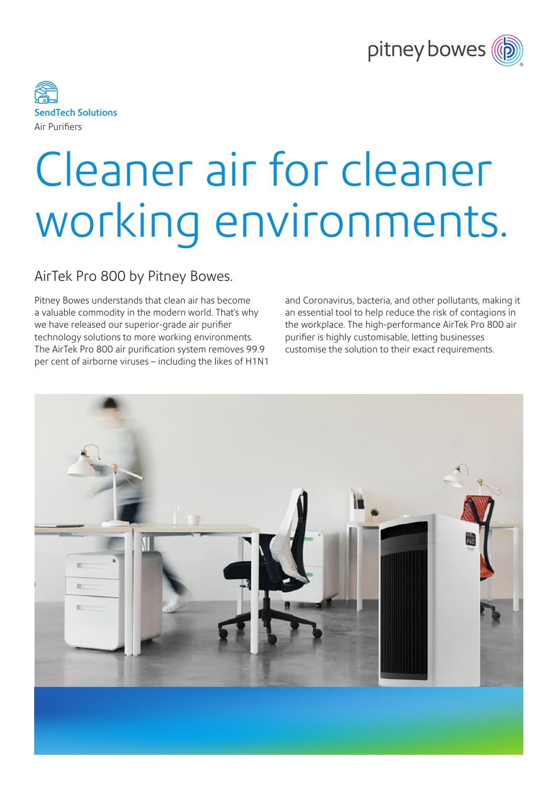



# Cleaner air for cleaner working environments.

## AirTek Pro 800 by Pitney Bowes.

Pitney Bowes understands that clean air has become a valuable commodity in the modern world. That's why we have released our superior-grade air purifier technology solutions to more working environments. The AirTek Pro 800 air purification system removes 99.9 per cent of airborne viruses – including the likes of H1N1 and Coronavirus, bacteria, and other pollutants, making it an essential tool to help reduce the risk of contagions in the workplace. The high-performance AirTek Pro 800 air purifier is highly customisable, letting businesses customise the solution to their exact requirements.